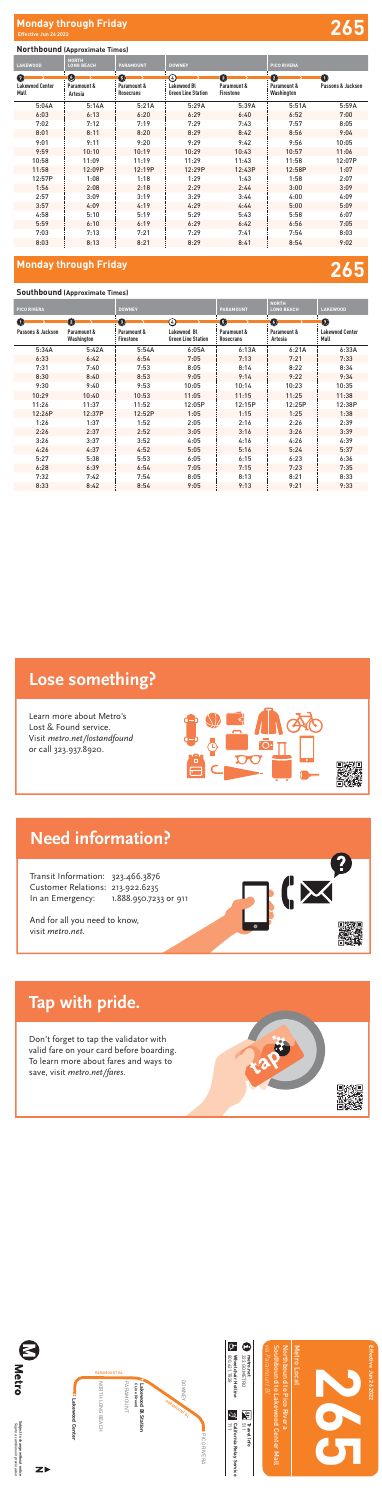Local

Subject to change without notice<br>*Sujeto a cambios sin previo aviso* **Subject to change without notice** *Sujeto a cambios sin previo aviso*





**Travel Info**



**265**

Southbound to Lakewood Center Mall

**Jun 26 2022**

## **Northbound (Approximate Times)**

### Learn more about Metro's Lost & Found iap with priuc. **Tap with pride.**

## **Monday through Friday 265**

| . .                            |                                   |                                 |                                          |                                 |                           |                   |
|--------------------------------|-----------------------------------|---------------------------------|------------------------------------------|---------------------------------|---------------------------|-------------------|
| <b>LAKEWOOD</b>                | <b>NORTH</b><br><b>LONG BEACH</b> | <b>PARAMOUNT</b>                | <b>DOWNEY</b>                            |                                 | <b>PICO RIVERA</b>        |                   |
| Ø                              | Ø                                 | 6                               | $\left( 4\right)$                        | $\boldsymbol{\Theta}$           | $\mathbf{\Omega}$         | $\bullet$         |
| <b>Lakewood Center</b><br>Mall | Paramount &<br>Artesia            | Paramount &<br><b>Rosecrans</b> | Lakewood Bl<br><b>Green Line Station</b> | Paramount &<br><b>Firestone</b> | Paramount &<br>Washington | Passons & Jackson |
| 5:04A                          | 5:14A                             | 5:21A                           | 5:29A                                    | 5:39A                           | 5:51A                     | 5:59A             |
| 6:03                           | 6:13                              | 6:20                            | 6:29                                     | 6:40                            | 6:52                      | 7:00              |
| 7:02                           | 7:12                              | 7:19                            | 7:29                                     | 7:43                            | 7:57                      | 8:05              |
| 8:01                           | 8:11                              | 8:20                            | 8:29                                     | 8:42                            | 8:56                      | 9:04              |
| 9:01                           | 9:11                              | 9:20                            | 9:29                                     | 9:42                            | 9:56                      | 10:05             |
| 9:59                           | 10:10                             | 10:19                           | 10:29                                    | 10:43                           | 10:57                     | 11:06             |
| 10:58                          | 11:09                             | 11:19                           | 11:29                                    | 11:43                           | 11:58                     | 12:07P            |
| 11:58                          | 12:09P                            | 12:19P                          | 12:29P                                   | 12:43P                          | 12:58P                    | 1:07              |
| 12:57P                         | 1:08                              | 1:18                            | 1:29                                     | 1:43                            | 1:58                      | 2:07              |
| 1:56                           | 2:08                              | 2:18                            | 2:29                                     | 2:44                            | 3:00                      | 3:09              |
| 2:57                           | 3:09                              | 3:19                            | 3:29                                     | 3:44                            | 4:00                      | 4:09              |
| 3:57                           | 4:09                              | 4:19                            | 4:29                                     | 4:44                            | 5:00                      | 5:09              |
| 4:58                           | 5:10                              | 5:19                            | 5:29                                     | 5:43                            | 5:58                      | 6:07              |
| 5:59                           | 6:10                              | 6:19                            | 6:29                                     | 6:42                            | 6:56                      | 7:05              |
| 7:03                           | 7:13                              | 7:21                            | 7:29                                     | 7:41                            | 7:54                      | 8:03              |
| 8:03                           | 8:13                              | 8:21                            | 8:29                                     | 8:41                            | 8:54                      | 9:02              |

### **Southbound (Approximate Times)**

Don't forget to tap the validator with valid fare on your card before boarding. save, visit *metro.net/fares.* To learn more about fares and ways to

| <b>PICO RIVERA</b>         |                           | <b>DOWNEY</b>                   |                                          | <b>PARAMOUNT</b>         | <b>NORTH</b><br><b>LONG BEACH</b> | <b>LAKEWOOD</b>                |
|----------------------------|---------------------------|---------------------------------|------------------------------------------|--------------------------|-----------------------------------|--------------------------------|
| $\left( \mathbf{1}\right)$ | $\bullet$                 | $\bullet$                       | $\left( 4\right)$                        | $\boldsymbol{\Theta}$    | O                                 | $\mathbf 0$                    |
| Passons & Jackson          | Paramount &<br>Washington | Paramount &<br><b>Firestone</b> | Lakewood Bl<br><b>Green Line Station</b> | Paramount &<br>Rosecrans | Paramount &<br>Artesia            | <b>Lakewood Center</b><br>Mall |
| 5:34A                      | 5:42A                     | 5:54A                           | 6:05A                                    | 6:13A                    | 6:21A                             | 6:33A                          |
| 6:33                       | 6:42                      | 6:54                            | 7:05                                     | 7:13                     | 7:21                              | 7:33                           |
| 7:31                       | 7:40                      | 7:53                            | 8:05                                     | 8:14                     | 8:22                              | 8:34                           |
| 8:30                       | 8:40                      | 8:53                            | 9:05                                     | 9:14                     | 9:22                              | 9:34                           |
| 9:30                       | 9:40                      | 9:53                            | 10:05                                    | 10:14                    | 10:23                             | 10:35                          |
| 10:29                      | 10:40                     | 10:53                           | 11:05                                    | 11:15                    | 11:25                             | 11:38                          |
| 11:26                      | 11:37                     | 11:52                           | 12:05P                                   | 12:15P                   | 12:25P                            | 12:38P                         |
| 12:26P                     | 12:37P                    | 12:52P                          | 1:05                                     | 1:15                     | 1:25                              | 1:38                           |
| 1:26                       | 1:37                      | 1:52                            | 2:05                                     | 2:16                     | 2:26                              | 2:39                           |
| 2:26                       | 2:37                      | 2:52                            | 3:05                                     | 3:16                     | 3:26                              | 3:39                           |
| 3:26                       | 3:37                      | 3:52                            | 4:05                                     | 4:16                     | 4:26                              | 4:39                           |
| 4:26                       | 4:37                      | 4:52                            | 5:05                                     | 5:16                     | 5:24                              | 5:37                           |
| 5:27                       | 5:38                      | 5:53                            | 6:05                                     | 6:15                     | 6:23                              | 6:36                           |
| 6:28                       | 6:39                      | 6:54                            | 7:05                                     | 7:15                     | 7:23                              | 7:35                           |
| 7:32                       | 7:42                      | 7:54                            | 8:05                                     | 8:13                     | 8:21                              | 8:33                           |
| 8:33                       | 8:42                      | 8:54                            | 9:05                                     | 9:13                     | 9:21                              | 9:33                           |



## **Lose something?**

**Lose something?**

Learn more about Metro's Lost & Found service. Visit metro.net/lostandfound or call 323.937.8920.





## **Need information?**

Transit Information: 323.466.3876 Customer Relations: 213.922.6235 In an Emergency: 1.888.950.7233 or 911



ĽБ

And for all you need to know, visit metro.net.

To learn more about fares and ways to

save, visit metro.net/fares.